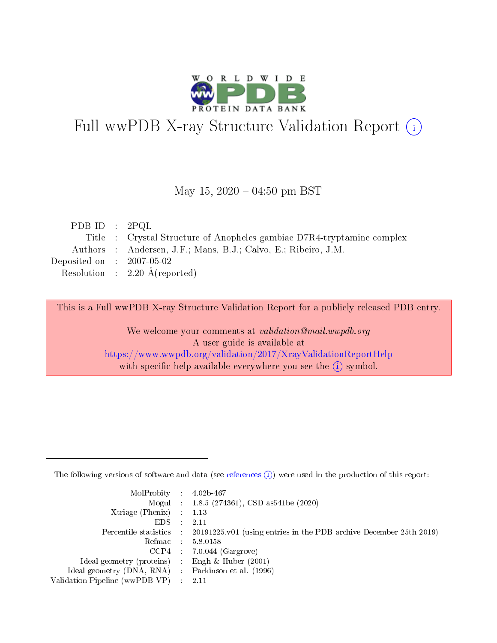

# Full wwPDB X-ray Structure Validation Report (i)

#### May 15,  $2020 - 04:50$  pm BST

| PDB ID : $2PQL$             |                                                                        |
|-----------------------------|------------------------------------------------------------------------|
|                             | Title : Crystal Structure of Anopheles gambiae D7R4-tryptamine complex |
|                             | Authors : Andersen, J.F.; Mans, B.J.; Calvo, E.; Ribeiro, J.M.         |
| Deposited on : $2007-05-02$ |                                                                        |
|                             | Resolution : $2.20 \text{ Å}$ (reported)                               |
|                             |                                                                        |

This is a Full wwPDB X-ray Structure Validation Report for a publicly released PDB entry.

We welcome your comments at validation@mail.wwpdb.org A user guide is available at <https://www.wwpdb.org/validation/2017/XrayValidationReportHelp> with specific help available everywhere you see the  $(i)$  symbol.

The following versions of software and data (see [references](https://www.wwpdb.org/validation/2017/XrayValidationReportHelp#references)  $(1)$ ) were used in the production of this report:

| MolProbity : $4.02b-467$                            |                                                                                            |
|-----------------------------------------------------|--------------------------------------------------------------------------------------------|
|                                                     | Mogul : $1.8.5$ (274361), CSD as 541be (2020)                                              |
| $Xtriangle (Phenix)$ : 1.13                         |                                                                                            |
| $EDS$ :                                             | -2.11                                                                                      |
|                                                     | Percentile statistics : 20191225.v01 (using entries in the PDB archive December 25th 2019) |
| Refmac : 5.8.0158                                   |                                                                                            |
|                                                     | $CCP4$ 7.0.044 (Gargrove)                                                                  |
| Ideal geometry (proteins) : Engh $\&$ Huber (2001)  |                                                                                            |
| Ideal geometry (DNA, RNA) : Parkinson et al. (1996) |                                                                                            |
| Validation Pipeline (wwPDB-VP) : 2.11               |                                                                                            |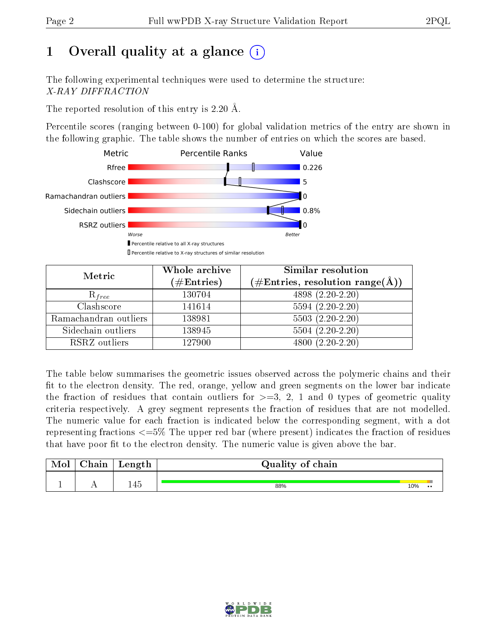# 1 [O](https://www.wwpdb.org/validation/2017/XrayValidationReportHelp#overall_quality)verall quality at a glance  $(i)$

The following experimental techniques were used to determine the structure: X-RAY DIFFRACTION

The reported resolution of this entry is 2.20 Å.

Percentile scores (ranging between 0-100) for global validation metrics of the entry are shown in the following graphic. The table shows the number of entries on which the scores are based.



| Metric                | Whole archive<br>$(\#\mathrm{Entries})$ | Similar resolution<br>$(\#\text{Entries},\,\text{resolution}\,\,\text{range}(\textup{\AA}))$ |
|-----------------------|-----------------------------------------|----------------------------------------------------------------------------------------------|
| $R_{free}$            | 130704                                  | 4898 (2.20-2.20)                                                                             |
| Clashscore            | 141614                                  | $5594(2.20-2.20)$                                                                            |
| Ramachandran outliers | 138981                                  | $5503(2.20-2.20)$                                                                            |
| Sidechain outliers    | 138945                                  | $5504(2.20-2.20)$                                                                            |
| RSRZ outliers         | 127900                                  | $4800(2.20-2.20)$                                                                            |

The table below summarises the geometric issues observed across the polymeric chains and their fit to the electron density. The red, orange, yellow and green segments on the lower bar indicate the fraction of residues that contain outliers for  $>=3, 2, 1$  and 0 types of geometric quality criteria respectively. A grey segment represents the fraction of residues that are not modelled. The numeric value for each fraction is indicated below the corresponding segment, with a dot representing fractions <=5% The upper red bar (where present) indicates the fraction of residues that have poor fit to the electron density. The numeric value is given above the bar.

| Mol           | hain | Length             | Quality of chain |     |           |
|---------------|------|--------------------|------------------|-----|-----------|
| <u>. на п</u> | . .  | $\Lambda$ 5<br>ક્ર | 88%              | 10% | $\bullet$ |

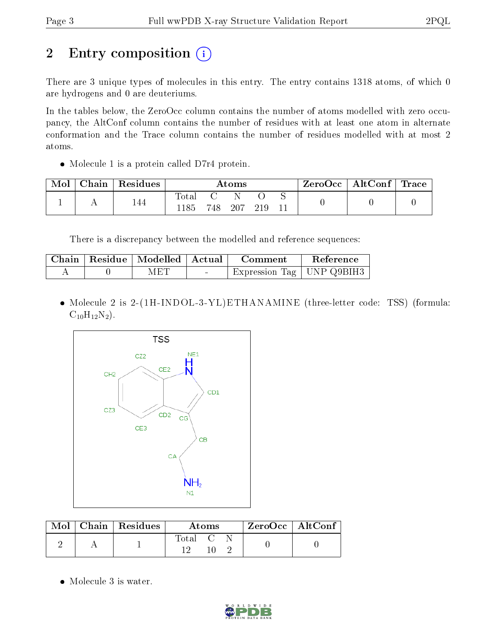# 2 Entry composition (i)

There are 3 unique types of molecules in this entry. The entry contains 1318 atoms, of which 0 are hydrogens and 0 are deuteriums.

In the tables below, the ZeroOcc column contains the number of atoms modelled with zero occupancy, the AltConf column contains the number of residues with at least one atom in alternate conformation and the Trace column contains the number of residues modelled with at most 2 atoms.

• Molecule 1 is a protein called D7r4 protein.

| Mol | ${\rm Chain}$ | Residues | Atoms                    |     |     |     |  | $\rm{ZeroOcc}$   $\rm{AltConf}$   $\rm{Trace}$ |  |
|-----|---------------|----------|--------------------------|-----|-----|-----|--|------------------------------------------------|--|
|     |               | 144      | $\mathrm{Total}$<br>.185 | 748 | 207 | 219 |  |                                                |  |

There is a discrepancy between the modelled and reference sequences:

|  | Chain   Residue   Modelled   Actual |                                            | Comment                     | Reference |
|--|-------------------------------------|--------------------------------------------|-----------------------------|-----------|
|  | MET                                 | <b>Contract Contract Contract Contract</b> | Expression Tag   UNP Q9BIH3 |           |

• Molecule 2 is 2-(1H-INDOL-3-YL)ETHANAMINE (three-letter code: TSS) (formula:  $C_{10}H_{12}N_2$ .



|  | $\text{Mol}$   Chain   Residues | <b>Atoms</b>     |  |  | $ZeroOcc \mid AltConf \mid$ |
|--|---------------------------------|------------------|--|--|-----------------------------|
|  |                                 | Total C<br>า 6 โ |  |  |                             |

• Molecule 3 is water.

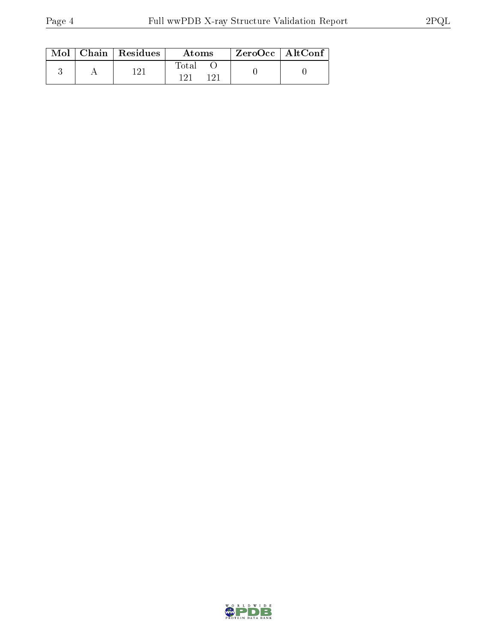|  | $\text{Mol}$   Chain   Residues | Atoms                   |  | $\rm ZeroOcc$   $\rm AltConf$ |
|--|---------------------------------|-------------------------|--|-------------------------------|
|  | 1 ດ 1                           | Fotal<br>1 ດ 1<br>1 ດ 1 |  |                               |

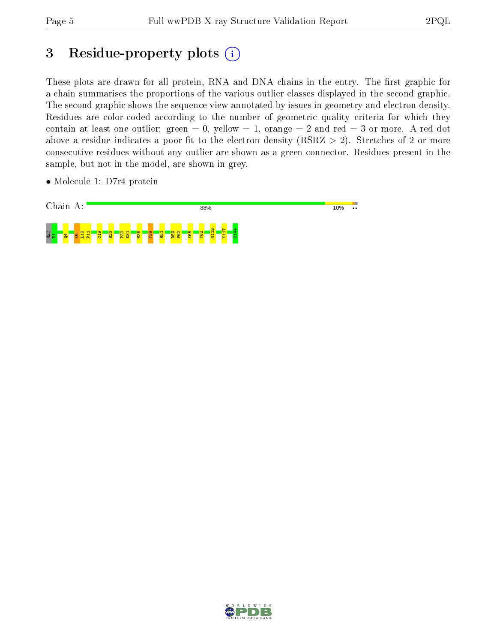# 3 Residue-property plots (i)

These plots are drawn for all protein, RNA and DNA chains in the entry. The first graphic for a chain summarises the proportions of the various outlier classes displayed in the second graphic. The second graphic shows the sequence view annotated by issues in geometry and electron density. Residues are color-coded according to the number of geometric quality criteria for which they contain at least one outlier: green  $= 0$ , yellow  $= 1$ , orange  $= 2$  and red  $= 3$  or more. A red dot above a residue indicates a poor fit to the electron density (RSRZ  $> 2$ ). Stretches of 2 or more consecutive residues without any outlier are shown as a green connector. Residues present in the sample, but not in the model, are shown in grey.

• Molecule 1: D7r4 protein



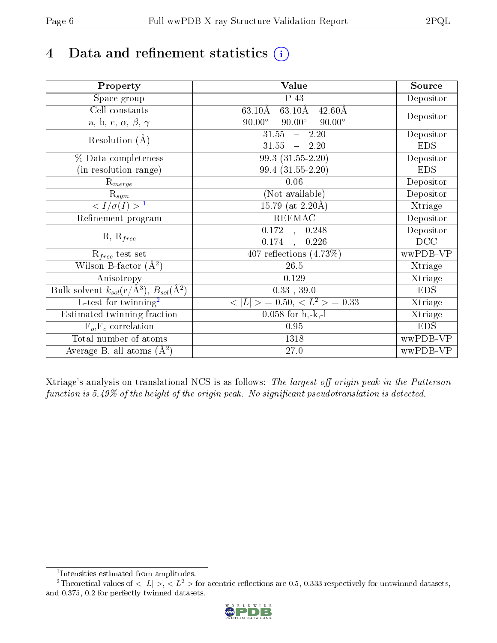# 4 Data and refinement statistics  $(i)$

| Property                                                             | Value                                                       | Source     |
|----------------------------------------------------------------------|-------------------------------------------------------------|------------|
| Space group                                                          | P 43                                                        | Depositor  |
| Cell constants                                                       | $63.10\text{\AA}$<br>$63.10\text{\AA}$<br>$42.60\text{\AA}$ |            |
| a, b, c, $\alpha$ , $\beta$ , $\gamma$                               | $90.00^\circ$<br>$90.00^\circ$<br>$90.00^\circ$             | Depositor  |
| Resolution $(A)$                                                     | 31.55<br>$-2.20$                                            | Depositor  |
|                                                                      | 31.55<br>$-2.20$                                            | <b>EDS</b> |
| % Data completeness                                                  | 99.3 (31.55-2.20)                                           | Depositor  |
| (in resolution range)                                                | 99.4 (31.55-2.20)                                           | <b>EDS</b> |
| $R_{merge}$                                                          | 0.06                                                        | Depositor  |
| $\mathrm{R}_{sym}$                                                   | (Not available)                                             | Depositor  |
| $\langle I/\sigma(I) \rangle^{-1}$                                   | 15.79 (at $2.20\text{\AA}$ )                                | Xtriage    |
| Refinement program                                                   | <b>REFMAC</b>                                               | Depositor  |
|                                                                      | $\overline{0.172}$ ,<br>0.248                               | Depositor  |
| $R, R_{free}$                                                        | 0.174<br>0.226<br>$\overline{a}$                            | DCC        |
| $R_{free}$ test set                                                  | 407 reflections $(4.73\%)$                                  | wwPDB-VP   |
| Wilson B-factor $(A^2)$                                              | 26.5                                                        | Xtriage    |
| Anisotropy                                                           | 0.129                                                       | Xtriage    |
| Bulk solvent $k_{sol}(e/\mathring{A}^3)$ , $B_{sol}(\mathring{A}^2)$ | $0.33\,$ , $39.0\,$                                         | <b>EDS</b> |
| $\overline{L-test for}$ twinning <sup>2</sup>                        | $\langle  L  \rangle = 0.50, \langle L^2 \rangle = 0.33$    | Xtriage    |
| Estimated twinning fraction                                          | $0.058$ for h,-k,-l                                         | Xtriage    |
| $F_o, F_c$ correlation                                               | 0.95                                                        | <b>EDS</b> |
| Total number of atoms                                                | 1318                                                        | wwPDB-VP   |
| Average B, all atoms $(A^2)$                                         | $27.0\,$                                                    | wwPDB-VP   |

Xtriage's analysis on translational NCS is as follows: The largest off-origin peak in the Patterson function is  $5.49\%$  of the height of the origin peak. No significant pseudotranslation is detected.

<sup>&</sup>lt;sup>2</sup>Theoretical values of  $\langle |L| \rangle$ ,  $\langle L^2 \rangle$  for acentric reflections are 0.5, 0.333 respectively for untwinned datasets, and 0.375, 0.2 for perfectly twinned datasets.



<span id="page-5-1"></span><span id="page-5-0"></span><sup>1</sup> Intensities estimated from amplitudes.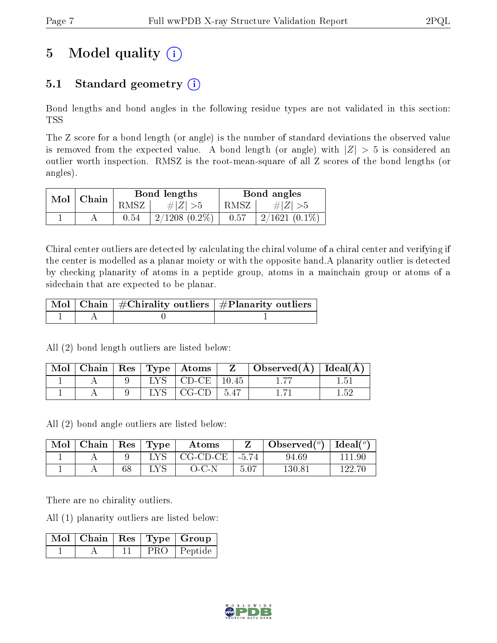# 5 Model quality  $(i)$

# 5.1 Standard geometry  $(i)$

Bond lengths and bond angles in the following residue types are not validated in this section: TSS

The Z score for a bond length (or angle) is the number of standard deviations the observed value is removed from the expected value. A bond length (or angle) with  $|Z| > 5$  is considered an outlier worth inspection. RMSZ is the root-mean-square of all Z scores of the bond lengths (or angles).

| Mol | Chain |      | Bond lengths       | Bond angles |                 |  |
|-----|-------|------|--------------------|-------------|-----------------|--|
|     |       | RMSZ | # $ Z  > 5$        | RMSZ        | $\# Z  > 5$     |  |
|     |       | 0.54 | $2/1208$ $(0.2\%)$ | 0.57        | $2/1621(0.1\%)$ |  |

Chiral center outliers are detected by calculating the chiral volume of a chiral center and verifying if the center is modelled as a planar moiety or with the opposite hand.A planarity outlier is detected by checking planarity of atoms in a peptide group, atoms in a mainchain group or atoms of a sidechain that are expected to be planar.

|  | $\mid$ Mol $\mid$ Chain $\mid$ #Chirality outliers $\mid$ #Planarity outliers $\mid$ |
|--|--------------------------------------------------------------------------------------|
|  |                                                                                      |

All (2) bond length outliers are listed below:

| Mol | Chain |       | $\vert$ Res $\vert$ Type $\vert$ Atoms |        | $\bigcup$ Observed( $\bigwedge$ )   Ideal( $\bigwedge$ ) |      |
|-----|-------|-------|----------------------------------------|--------|----------------------------------------------------------|------|
|     |       | LYS - | $^{\circ}$ CD-CE $\parallel$           | 10.45  |                                                          |      |
|     |       |       | -CG-CD -                               | - 5.47 |                                                          | 1.52 |

All (2) bond angle outliers are listed below:

| Mol | $\cap$ hain | $\operatorname{Res}% \left( \mathcal{N}\right) \equiv\operatorname{Res}(\mathcal{N}_{0},\mathcal{N}_{0})$ | Type | $\rm{Atoms}$ |         | Observed $(°)$ | Ideal $(^\circ)$ |
|-----|-------------|-----------------------------------------------------------------------------------------------------------|------|--------------|---------|----------------|------------------|
|     |             |                                                                                                           |      | CG-CD-CE     | $-5.74$ | 94.69          |                  |
|     |             | ΩC<br>υο                                                                                                  |      | $-1$ $-1$    | 5.07    | $130.8$ .      |                  |

There are no chirality outliers.

All (1) planarity outliers are listed below:

|  |  | $\boxed{\text{ Mol}}$   Chain   Res   Type   Group |
|--|--|----------------------------------------------------|
|  |  | PRO Peptide                                        |

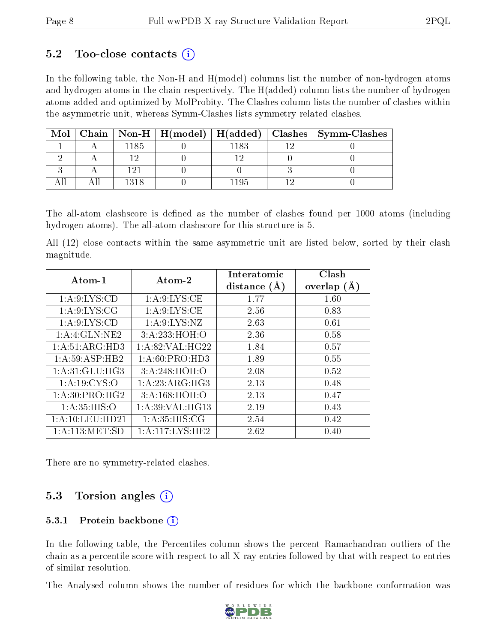### $5.2$  Too-close contacts  $(i)$

In the following table, the Non-H and H(model) columns list the number of non-hydrogen atoms and hydrogen atoms in the chain respectively. The H(added) column lists the number of hydrogen atoms added and optimized by MolProbity. The Clashes column lists the number of clashes within the asymmetric unit, whereas Symm-Clashes lists symmetry related clashes.

| Mol |      |  | Chain   Non-H   H(model)   H(added)   Clashes   Symm-Clashes |
|-----|------|--|--------------------------------------------------------------|
|     | 1185 |  |                                                              |
|     |      |  |                                                              |
|     |      |  |                                                              |
|     |      |  |                                                              |

The all-atom clashscore is defined as the number of clashes found per 1000 atoms (including hydrogen atoms). The all-atom clashscore for this structure is 5.

All (12) close contacts within the same asymmetric unit are listed below, sorted by their clash magnitude.

| Atom-1           | Atom-2            | Interatomic    | Clash         |
|------------------|-------------------|----------------|---------------|
|                  |                   | distance $(A)$ | overlap $(A)$ |
| 1: A:9: LYS:CD   | 1: A:9: LYS: CE   | 1.77           | 1.60          |
| 1: A:9: LYS: CG  | 1: A:9: LYS: CE   | 2.56           | 0.83          |
| 1: A:9: LYS:CD   | 1: A:9: LYS: NZ   | 2.63           | 0.61          |
| 1:A:4:GLN:NE2    | 3:A:233:HOH:O     | 2.36           | 0.58          |
| 1:A:51:ARG:HD3   | 1: A:82:VAL:HG22  | 1.84           | 0.57          |
| 1:A:59:ASP:HB2   | 1: A:60: PRO:HD3  | 1.89           | 0.55          |
| 1: A:31: GLU:HG3 | 3:A:248:HOH:O     | 2.08           | 0.52          |
| 1: A:19: CYS:O   | 1: A:23: ARG: HG3 | 2.13           | 0.48          |
| 1: A:30: PRO:HG2 | 3:A:168:HOH:O     | 2.13           | 0.47          |
| 1: A:35: HIS:O   | 1: A:39: VAL:HG13 | 2.19           | 0.43          |
| 1:A:10:LEU:HD21  | 1: A:35: HIS: CG  | 2.54           | 0.42          |
| 1: A:113: MET:SD | 1:A:117:LYS:HE2   | 2.62           | 0.40          |

There are no symmetry-related clashes.

## 5.3 Torsion angles  $(i)$

#### 5.3.1 Protein backbone  $(i)$

In the following table, the Percentiles column shows the percent Ramachandran outliers of the chain as a percentile score with respect to all X-ray entries followed by that with respect to entries of similar resolution.

The Analysed column shows the number of residues for which the backbone conformation was

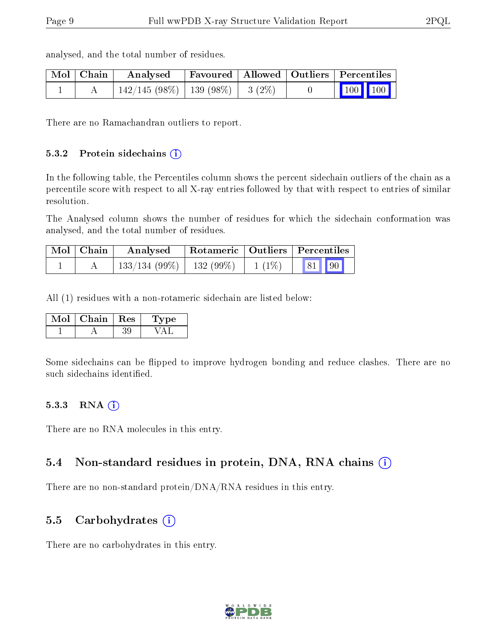| $\mid$ Mol $\mid$ Chain $\mid$ | Analysed                                                   |  | Favoured   Allowed   Outliers   Percentiles                  |
|--------------------------------|------------------------------------------------------------|--|--------------------------------------------------------------|
|                                | $\mid$ 142/145 (98%) $\mid$ 139 (98%) $\mid$ 3 (2%) $\mid$ |  | $\begin{array}{ c c c c c }\n\hline\n100 & 100\n\end{array}$ |

analysed, and the total number of residues.

There are no Ramachandran outliers to report.

#### 5.3.2 Protein sidechains (i)

In the following table, the Percentiles column shows the percent sidechain outliers of the chain as a percentile score with respect to all X-ray entries followed by that with respect to entries of similar resolution.

The Analysed column shows the number of residues for which the sidechain conformation was analysed, and the total number of residues.

| Mol   Chain | Analysed                         | Rotameric   Outliers   Percentiles |          |                                                                       |  |
|-------------|----------------------------------|------------------------------------|----------|-----------------------------------------------------------------------|--|
|             | $\mid$ 133/134 (99%)   132 (99%) |                                    | $1(1\%)$ | $\begin{array}{ c c c c c c } \hline & 81 & 90 \\ \hline \end{array}$ |  |

All (1) residues with a non-rotameric sidechain are listed below:

| Mol | Chain   Res | 'Lype |
|-----|-------------|-------|
|     |             |       |

Some sidechains can be flipped to improve hydrogen bonding and reduce clashes. There are no such sidechains identified.

#### 5.3.3 RNA (i)

There are no RNA molecules in this entry.

#### 5.4 Non-standard residues in protein, DNA, RNA chains (i)

There are no non-standard protein/DNA/RNA residues in this entry.

### 5.5 Carbohydrates  $(i)$

There are no carbohydrates in this entry.

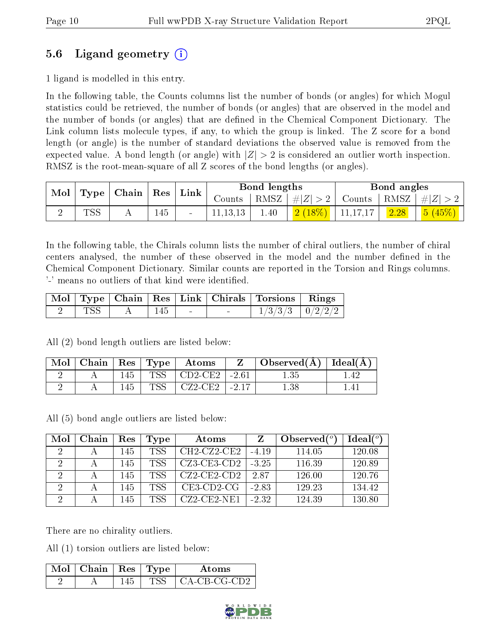## 5.6 Ligand geometry (i)

1 ligand is modelled in this entry.

In the following table, the Counts columns list the number of bonds (or angles) for which Mogul statistics could be retrieved, the number of bonds (or angles) that are observed in the model and the number of bonds (or angles) that are dened in the Chemical Component Dictionary. The Link column lists molecule types, if any, to which the group is linked. The Z score for a bond length (or angle) is the number of standard deviations the observed value is removed from the expected value. A bond length (or angle) with  $|Z| > 2$  is considered an outlier worth inspection. RMSZ is the root-mean-square of all Z scores of the bond lengths (or angles).

| Mol |     | $\mid$ Type $\mid$ Chain $\mid$ | $\vert$ Res $\vert$ | ${\rm Link}$ |          | Bond lengths |           |          | Bond angles  |           |
|-----|-----|---------------------------------|---------------------|--------------|----------|--------------|-----------|----------|--------------|-----------|
|     |     |                                 |                     |              | Counts   | RMSZ         | $+ Z $    | Counts   | $+$ RMSZ $+$ | $\pm  Z $ |
|     | TSS | 4 L                             | 145                 | $\sim$       | 11.13.13 | 1.40         | $2(18\%)$ | 11,17,17 | 2.28         | 5(45%)    |

In the following table, the Chirals column lists the number of chiral outliers, the number of chiral centers analysed, the number of these observed in the model and the number defined in the Chemical Component Dictionary. Similar counts are reported in the Torsion and Rings columns. '-' means no outliers of that kind were identified.

|              |  |  | Mol   Type   Chain   Res   Link   Chirals   Torsions   Rings |  |
|--------------|--|--|--------------------------------------------------------------|--|
| $_{\rm TSS}$ |  |  | $1/3/3/3$   $0/2/2/2$                                        |  |

All (2) bond length outliers are listed below:

| $\bf{Mol}$ | $\vert$ Chain $\vert$ Res $\vert$ Type $\vert$ |     |               | $\blacksquare$ Atoms | Observed( $\AA$ )   Ideal( $\AA$ ) |  |
|------------|------------------------------------------------|-----|---------------|----------------------|------------------------------------|--|
|            |                                                | 145 | $TSS_{\perp}$ | CD2-CE2   -2.61      | 1.35                               |  |
|            |                                                | 145 | TSS           | $CZ2-CE2$   -2.17    |                                    |  |

All (5) bond angle outliers are listed below:

| Mol | Chain | Res  | 'Type      | Atoms          |         | Observed $(°)$ | Ideal $(°)$ |
|-----|-------|------|------------|----------------|---------|----------------|-------------|
|     |       | 145  | <b>TSS</b> | $CH2-CZ2-CE2$  | $-4.19$ | 114.05         | 120.08      |
|     |       | 145  | <b>TSS</b> | $CZ3-CE3-CD2$  | $-3.25$ | 116.39         | 120.89      |
|     |       | 145  | <b>TSS</b> | $CZ2$ -CE2-CD2 | 287     | 126.00         | 120.76      |
|     |       | 145. | <b>TSS</b> | $CE3$ -CD2-CG  | $-2.83$ | 129.23         | 134.42      |
|     |       | 145  | <b>TSS</b> | $CZ2$ -CE2-NE1 | $-2.32$ | 124.39         | 130.80      |

There are no chirality outliers.

All (1) torsion outliers are listed below:

| Mol | $\top$ Chain   Res   Type |  | Atoms                              |
|-----|---------------------------|--|------------------------------------|
|     |                           |  | $^{\circ}$ CA-CB-CG-CD2 $^{\circ}$ |

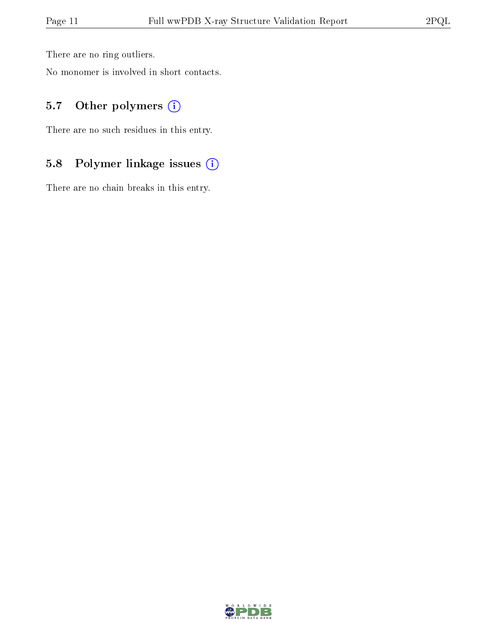There are no ring outliers.

No monomer is involved in short contacts.

### 5.7 [O](https://www.wwpdb.org/validation/2017/XrayValidationReportHelp#nonstandard_residues_and_ligands)ther polymers (i)

There are no such residues in this entry.

# 5.8 Polymer linkage issues (i)

There are no chain breaks in this entry.